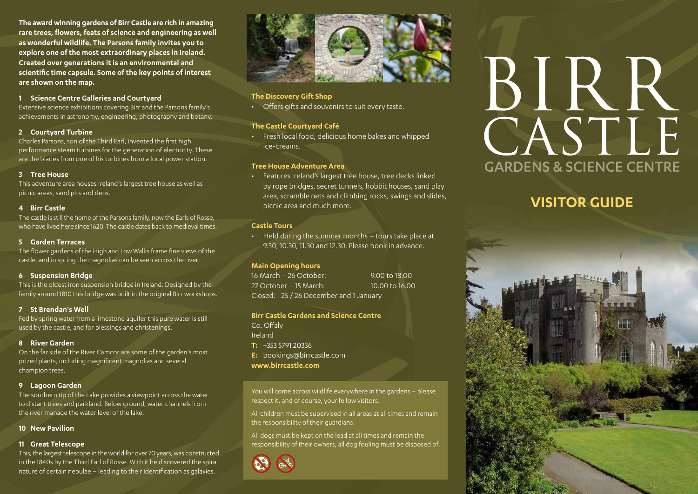**The award winning gardens of Birr Castle are rich in amazing rare trees, flowers, feats of science and engineering as well as wonderful wildlife. The Parsons family invites you to explore one of the most extraordinary places in Ireland. Created over generations it is an environmental and scientific time capsule. Some of the key points of interest are shown on the map.**

### **1 Science Centre Galleries and Courtyard**

Extensive science exhibitions covering Birr and the Parsons family's achievements in astronomy, engineering, photography and botany.

### **2 Courtyard Turbine**

Charles Parsons, son of the Third Earl, invented the first high performance steam turbines for the generation of electricity. These are the blades from one of his turbines from a local power station.

# **3 Tree House**

This adventure area houses Ireland's largest tree house as well as picnic areas, sand pits and dens.

# **4 Birr Castle**

The castle is still the home of the Parsons family, now the Earls of Rosse, who have lived here since 1620. The castle dates back to medieval times.

# **5 Garden Terraces**

The flower gardens of the High and Low Walks frame fine views of the castle, and in spring the magnolias can be seen across the river.

### **6 Suspension Bridge**

This is the oldest iron suspension bridge in Ireland. Designed by the family around 1810 this bridge was built in the original Birr workshops.

# **7 St Brendan's Well**

Fed by spring water from a limestone aquifer this pure water is still used by the castle, and for blessings and christenings.

### **8 River Garden**

On the far side of the River Camcor are some of the garden's most prized plants, including magnificent magnolias and several champion trees.

# **9 Lagoon Garden**

The southern tip of the Lake provides a viewpoint across the water to distant trees and parkland. Below ground, water channels from the river manage the water level of the lake.

### **10 New Pavilion**

### **11 Great Telescope**

This, the largest telescope in the world for over 70 years, was constructed in the 1840s by the Third Earl of Rosse. With it he discovered the spiral nature of certain nebulae – leading to their identification as galaxies.



# **The Discovery Gift Shop**

• Offers gifts and souvenirs to suit every taste.

# **The Castle Courtyard Café**

• Fresh local food, delicious home bakes and whipped ice-creams.

# **Tree House Adventure Area**

• Features Ireland's largest tree house, tree decks linked by rope bridges, secret tunnels, hobbit houses, sand play area, scramble nets and climbing rocks, swings and slides, picnic area and much more.

# **Castle Tours**

• Held during the summer months – tours take place at 9.30, 10.30, 11.30 and 12.30. Please book in advance.

### **Main Opening hours**

16 March – 26 October: 9.00 to 18.00 27 October – 15 March: 10.00 to 16.00 Closed: 25 / 26 December and 1 January

### **Birr Castle Gardens and Science Centre**

Co. Offaly Ireland **T:** +353 5791 20336 **E:** bookings@birrcastle.com **www.birrcastle.com**

You will come across wildlife everywhere in the gardens – please respect it, and of course, your fellow visitors.

All children must be supervised in all areas at all times and remain the responsibility of their guardians.

All dogs must be kept on the lead at all times and remain the responsibility of their owners, all dog fouling must be disposed of.



# BIRR CASTLE **GARDENS & SCIENCE CENTRE**

# **VISITOR GUIDE**